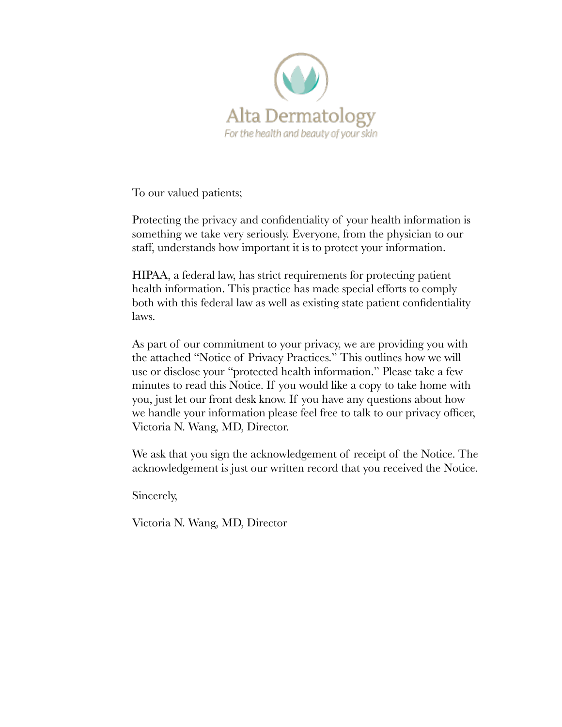

To our valued patients;

Protecting the privacy and confidentiality of your health information is something we take very seriously. Everyone, from the physician to our staff, understands how important it is to protect your information.

HIPAA, a federal law, has strict requirements for protecting patient health information. This practice has made special efforts to comply both with this federal law as well as existing state patient confidentiality laws.

As part of our commitment to your privacy, we are providing you with the attached "Notice of Privacy Practices." This outlines how we will use or disclose your "protected health information." Please take a few minutes to read this Notice. If you would like a copy to take home with you, just let our front desk know. If you have any questions about how we handle your information please feel free to talk to our privacy officer, Victoria N. Wang, MD, Director.

We ask that you sign the acknowledgement of receipt of the Notice. The acknowledgement is just our written record that you received the Notice.

Sincerely,

Victoria N. Wang, MD, Director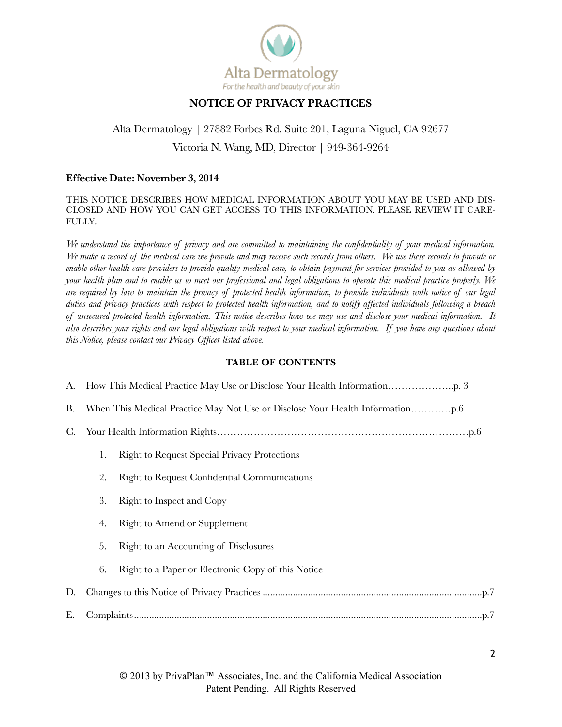

## **NOTICE OF PRIVACY PRACTICES**

# Alta Dermatology | 27882 Forbes Rd, Suite 201, Laguna Niguel, CA 92677 Victoria N. Wang, MD, Director | 949-364-9264

#### **Effective Date: November 3, 2014**

#### THIS NOTICE DESCRIBES HOW MEDICAL INFORMATION ABOUT YOU MAY BE USED AND DIS-CLOSED AND HOW YOU CAN GET ACCESS TO THIS INFORMATION. PLEASE REVIEW IT CARE-FULLY.

*We understand the importance of privacy and are committed to maintaining the confidentiality of your medical information. We make a record of the medical care we provide and may receive such records from others. We use these records to provide or enable other health care providers to provide quality medical care, to obtain payment for services provided to you as allowed by your health plan and to enable us to meet our professional and legal obligations to operate this medical practice properly. We are required by law to maintain the privacy of protected health information, to provide individuals with notice of our legal duties and privacy practices with respect to protected health information, and to notify affected individuals following a breach of unsecured protected health information. This notice describes how we may use and disclose your medical information. It also describes your rights and our legal obligations with respect to your medical information. If you have any questions about this Notice, please contact our Privacy Officer listed above.* 

#### **TABLE OF CONTENTS**

| C. |                                                     |
|----|-----------------------------------------------------|
| 1. | <b>Right to Request Special Privacy Protections</b> |
| 2. | <b>Right to Request Confidential Communications</b> |
| 3. | Right to Inspect and Copy                           |
| 4. | <b>Right to Amend or Supplement</b>                 |
| 5. | Right to an Accounting of Disclosures               |
| 6. | Right to a Paper or Electronic Copy of this Notice  |
|    |                                                     |
| Е. |                                                     |
|    |                                                     |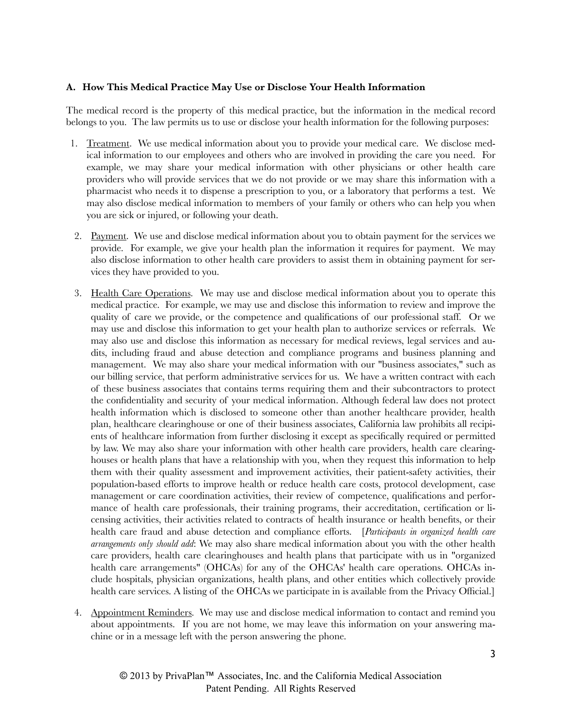### **A. How This Medical Practice May Use or Disclose Your Health Information**

The medical record is the property of this medical practice, but the information in the medical record belongs to you. The law permits us to use or disclose your health information for the following purposes:

- 1. Treatment. We use medical information about you to provide your medical care. We disclose medical information to our employees and others who are involved in providing the care you need. For example, we may share your medical information with other physicians or other health care providers who will provide services that we do not provide or we may share this information with a pharmacist who needs it to dispense a prescription to you, or a laboratory that performs a test. We may also disclose medical information to members of your family or others who can help you when you are sick or injured, or following your death.
- 2. Payment. We use and disclose medical information about you to obtain payment for the services we provide. For example, we give your health plan the information it requires for payment. We may also disclose information to other health care providers to assist them in obtaining payment for services they have provided to you.
- 3. Health Care Operations. We may use and disclose medical information about you to operate this medical practice. For example, we may use and disclose this information to review and improve the quality of care we provide, or the competence and qualifications of our professional staff. Or we may use and disclose this information to get your health plan to authorize services or referrals. We may also use and disclose this information as necessary for medical reviews, legal services and audits, including fraud and abuse detection and compliance programs and business planning and management. We may also share your medical information with our "business associates," such as our billing service, that perform administrative services for us. We have a written contract with each of these business associates that contains terms requiring them and their subcontractors to protect the confidentiality and security of your medical information. Although federal law does not protect health information which is disclosed to someone other than another healthcare provider, health plan, healthcare clearinghouse or one of their business associates, California law prohibits all recipients of healthcare information from further disclosing it except as specifically required or permitted by law. We may also share your information with other health care providers, health care clearinghouses or health plans that have a relationship with you, when they request this information to help them with their quality assessment and improvement activities, their patient-safety activities, their population-based efforts to improve health or reduce health care costs, protocol development, case management or care coordination activities, their review of competence, qualifications and performance of health care professionals, their training programs, their accreditation, certification or licensing activities, their activities related to contracts of health insurance or health benefits, or their health care fraud and abuse detection and compliance efforts. [*Participants in organized health care arrangements only should add*: We may also share medical information about you with the other health care providers, health care clearinghouses and health plans that participate with us in "organized health care arrangements" (OHCAs) for any of the OHCAs' health care operations. OHCAs include hospitals, physician organizations, health plans, and other entities which collectively provide health care services. A listing of the OHCAs we participate in is available from the Privacy Official.
- 4. Appointment Reminders. We may use and disclose medical information to contact and remind you about appointments. If you are not home, we may leave this information on your answering machine or in a message left with the person answering the phone.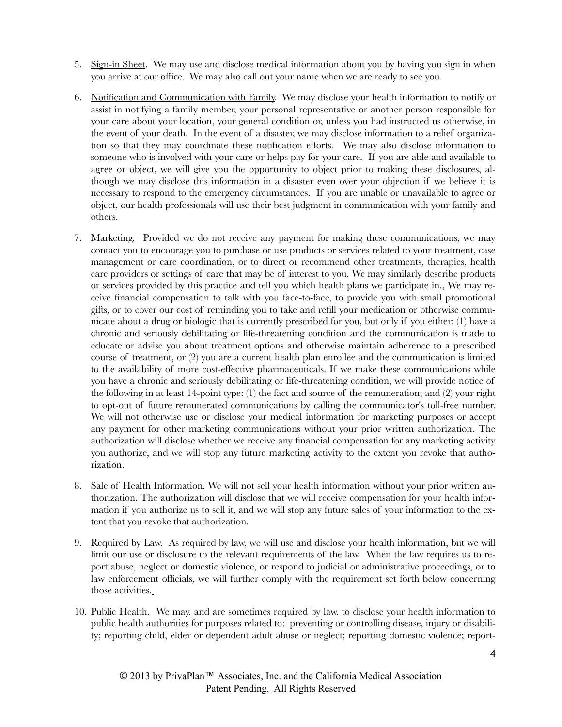- 5. Sign-in Sheet. We may use and disclose medical information about you by having you sign in when you arrive at our office. We may also call out your name when we are ready to see you.
- 6. Notification and Communication with Family. We may disclose your health information to notify or assist in notifying a family member, your personal representative or another person responsible for your care about your location, your general condition or, unless you had instructed us otherwise, in the event of your death. In the event of a disaster, we may disclose information to a relief organization so that they may coordinate these notification efforts. We may also disclose information to someone who is involved with your care or helps pay for your care. If you are able and available to agree or object, we will give you the opportunity to object prior to making these disclosures, although we may disclose this information in a disaster even over your objection if we believe it is necessary to respond to the emergency circumstances. If you are unable or unavailable to agree or object, our health professionals will use their best judgment in communication with your family and others.
- 7. Marketing. Provided we do not receive any payment for making these communications, we may contact you to encourage you to purchase or use products or services related to your treatment, case management or care coordination, or to direct or recommend other treatments, therapies, health care providers or settings of care that may be of interest to you. We may similarly describe products or services provided by this practice and tell you which health plans we participate in., We may receive financial compensation to talk with you face-to-face, to provide you with small promotional gifts, or to cover our cost of reminding you to take and refill your medication or otherwise communicate about a drug or biologic that is currently prescribed for you, but only if you either: (1) have a chronic and seriously debilitating or life-threatening condition and the communication is made to educate or advise you about treatment options and otherwise maintain adherence to a prescribed course of treatment, or (2) you are a current health plan enrollee and the communication is limited to the availability of more cost-effective pharmaceuticals. If we make these communications while you have a chronic and seriously debilitating or life-threatening condition, we will provide notice of the following in at least 14-point type: (1) the fact and source of the remuneration; and (2) your right to opt-out of future remunerated communications by calling the communicator's toll-free number. We will not otherwise use or disclose your medical information for marketing purposes or accept any payment for other marketing communications without your prior written authorization. The authorization will disclose whether we receive any financial compensation for any marketing activity you authorize, and we will stop any future marketing activity to the extent you revoke that authorization.
- 8. Sale of Health Information. We will not sell your health information without your prior written authorization. The authorization will disclose that we will receive compensation for your health information if you authorize us to sell it, and we will stop any future sales of your information to the extent that you revoke that authorization.
- 9. Required by Law. As required by law, we will use and disclose your health information, but we will limit our use or disclosure to the relevant requirements of the law. When the law requires us to report abuse, neglect or domestic violence, or respond to judicial or administrative proceedings, or to law enforcement officials, we will further comply with the requirement set forth below concerning those activities.
- 10. Public Health. We may, and are sometimes required by law, to disclose your health information to public health authorities for purposes related to: preventing or controlling disease, injury or disability; reporting child, elder or dependent adult abuse or neglect; reporting domestic violence; report-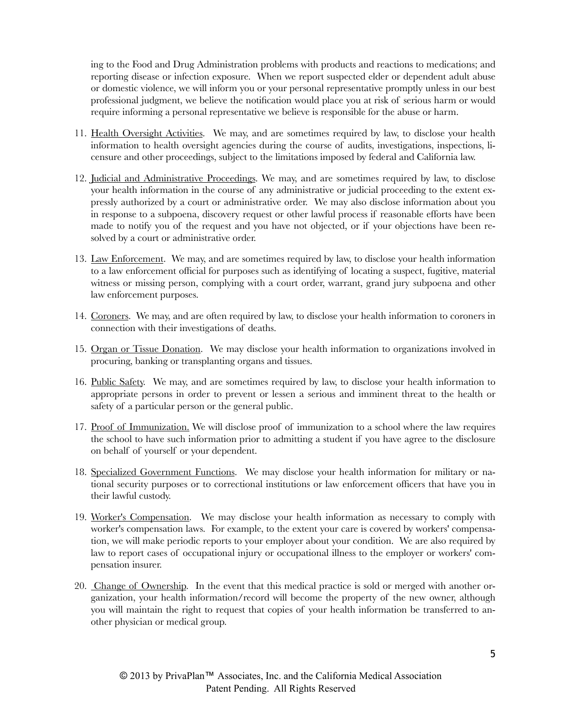ing to the Food and Drug Administration problems with products and reactions to medications; and reporting disease or infection exposure. When we report suspected elder or dependent adult abuse or domestic violence, we will inform you or your personal representative promptly unless in our best professional judgment, we believe the notification would place you at risk of serious harm or would require informing a personal representative we believe is responsible for the abuse or harm.

- 11. Health Oversight Activities. We may, and are sometimes required by law, to disclose your health information to health oversight agencies during the course of audits, investigations, inspections, licensure and other proceedings, subject to the limitations imposed by federal and California law.
- 12. Judicial and Administrative Proceedings. We may, and are sometimes required by law, to disclose your health information in the course of any administrative or judicial proceeding to the extent expressly authorized by a court or administrative order. We may also disclose information about you in response to a subpoena, discovery request or other lawful process if reasonable efforts have been made to notify you of the request and you have not objected, or if your objections have been resolved by a court or administrative order.
- 13. Law Enforcement. We may, and are sometimes required by law, to disclose your health information to a law enforcement official for purposes such as identifying of locating a suspect, fugitive, material witness or missing person, complying with a court order, warrant, grand jury subpoena and other law enforcement purposes.
- 14. Coroners. We may, and are often required by law, to disclose your health information to coroners in connection with their investigations of deaths.
- 15. Organ or Tissue Donation. We may disclose your health information to organizations involved in procuring, banking or transplanting organs and tissues.
- 16. Public Safety. We may, and are sometimes required by law, to disclose your health information to appropriate persons in order to prevent or lessen a serious and imminent threat to the health or safety of a particular person or the general public.
- 17. Proof of Immunization. We will disclose proof of immunization to a school where the law requires the school to have such information prior to admitting a student if you have agree to the disclosure on behalf of yourself or your dependent.
- 18. Specialized Government Functions. We may disclose your health information for military or national security purposes or to correctional institutions or law enforcement officers that have you in their lawful custody.
- 19. Worker's Compensation. We may disclose your health information as necessary to comply with worker's compensation laws. For example, to the extent your care is covered by workers' compensation, we will make periodic reports to your employer about your condition. We are also required by law to report cases of occupational injury or occupational illness to the employer or workers' compensation insurer.
- 20. Change of Ownership. In the event that this medical practice is sold or merged with another organization, your health information/record will become the property of the new owner, although you will maintain the right to request that copies of your health information be transferred to another physician or medical group.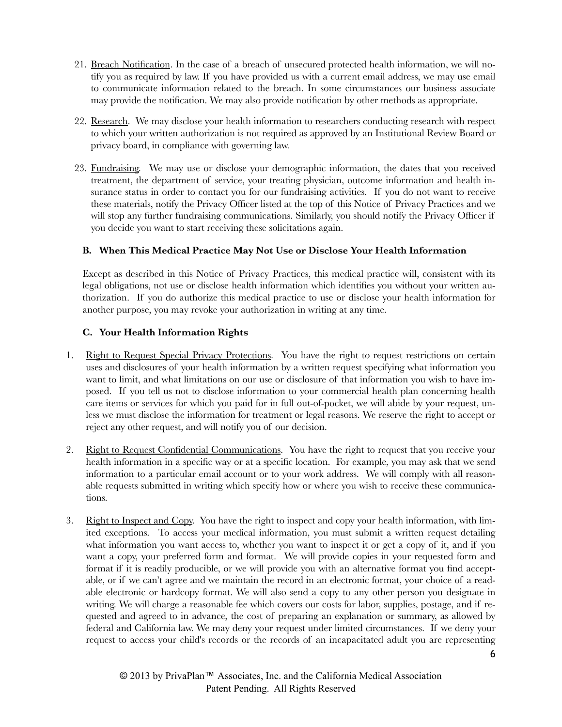- 21. Breach Notification. In the case of a breach of unsecured protected health information, we will notify you as required by law. If you have provided us with a current email address, we may use email to communicate information related to the breach. In some circumstances our business associate may provide the notification. We may also provide notification by other methods as appropriate.
- 22. Research. We may disclose your health information to researchers conducting research with respect to which your written authorization is not required as approved by an Institutional Review Board or privacy board, in compliance with governing law.
- 23. Fundraising. We may use or disclose your demographic information, the dates that you received treatment, the department of service, your treating physician, outcome information and health insurance status in order to contact you for our fundraising activities. If you do not want to receive these materials, notify the Privacy Officer listed at the top of this Notice of Privacy Practices and we will stop any further fundraising communications. Similarly, you should notify the Privacy Officer if you decide you want to start receiving these solicitations again.

## **B. When This Medical Practice May Not Use or Disclose Your Health Information**

Except as described in this Notice of Privacy Practices, this medical practice will, consistent with its legal obligations, not use or disclose health information which identifies you without your written authorization. If you do authorize this medical practice to use or disclose your health information for another purpose, you may revoke your authorization in writing at any time.

## **C. Your Health Information Rights**

- 1. Right to Request Special Privacy Protections. You have the right to request restrictions on certain uses and disclosures of your health information by a written request specifying what information you want to limit, and what limitations on our use or disclosure of that information you wish to have imposed. If you tell us not to disclose information to your commercial health plan concerning health care items or services for which you paid for in full out-of-pocket, we will abide by your request, unless we must disclose the information for treatment or legal reasons. We reserve the right to accept or reject any other request, and will notify you of our decision.
- 2. Right to Request Confidential Communications. You have the right to request that you receive your health information in a specific way or at a specific location. For example, you may ask that we send information to a particular email account or to your work address. We will comply with all reasonable requests submitted in writing which specify how or where you wish to receive these communications.
- 3. Right to Inspect and Copy. You have the right to inspect and copy your health information, with limited exceptions. To access your medical information, you must submit a written request detailing what information you want access to, whether you want to inspect it or get a copy of it, and if you want a copy, your preferred form and format. We will provide copies in your requested form and format if it is readily producible, or we will provide you with an alternative format you find acceptable, or if we can't agree and we maintain the record in an electronic format, your choice of a readable electronic or hardcopy format. We will also send a copy to any other person you designate in writing. We will charge a reasonable fee which covers our costs for labor, supplies, postage, and if requested and agreed to in advance, the cost of preparing an explanation or summary, as allowed by federal and California law. We may deny your request under limited circumstances. If we deny your request to access your child's records or the records of an incapacitated adult you are representing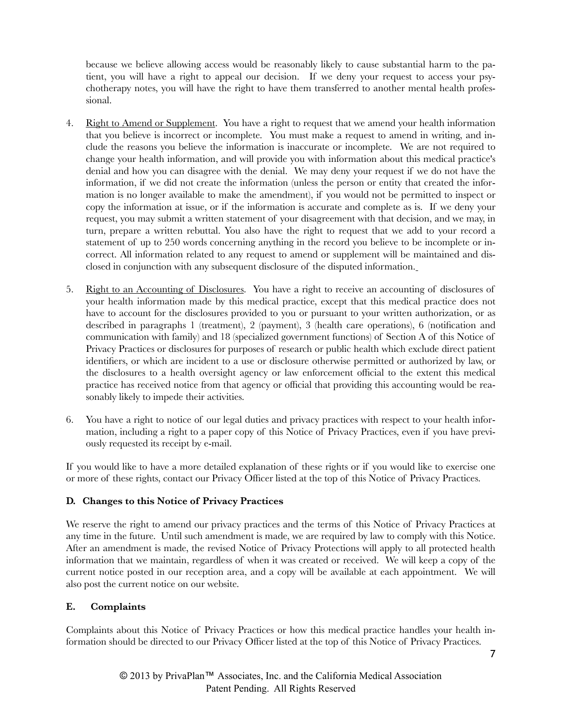because we believe allowing access would be reasonably likely to cause substantial harm to the patient, you will have a right to appeal our decision. If we deny your request to access your psychotherapy notes, you will have the right to have them transferred to another mental health professional.

- 4. Right to Amend or Supplement. You have a right to request that we amend your health information that you believe is incorrect or incomplete. You must make a request to amend in writing, and include the reasons you believe the information is inaccurate or incomplete. We are not required to change your health information, and will provide you with information about this medical practice's denial and how you can disagree with the denial. We may deny your request if we do not have the information, if we did not create the information (unless the person or entity that created the information is no longer available to make the amendment), if you would not be permitted to inspect or copy the information at issue, or if the information is accurate and complete as is. If we deny your request, you may submit a written statement of your disagreement with that decision, and we may, in turn, prepare a written rebuttal. You also have the right to request that we add to your record a statement of up to 250 words concerning anything in the record you believe to be incomplete or incorrect. All information related to any request to amend or supplement will be maintained and disclosed in conjunction with any subsequent disclosure of the disputed information.
- 5. Right to an Accounting of Disclosures. You have a right to receive an accounting of disclosures of your health information made by this medical practice, except that this medical practice does not have to account for the disclosures provided to you or pursuant to your written authorization, or as described in paragraphs 1 (treatment), 2 (payment), 3 (health care operations), 6 (notification and communication with family) and 18 (specialized government functions) of Section A of this Notice of Privacy Practices or disclosures for purposes of research or public health which exclude direct patient identifiers, or which are incident to a use or disclosure otherwise permitted or authorized by law, or the disclosures to a health oversight agency or law enforcement official to the extent this medical practice has received notice from that agency or official that providing this accounting would be reasonably likely to impede their activities.
- 6. You have a right to notice of our legal duties and privacy practices with respect to your health information, including a right to a paper copy of this Notice of Privacy Practices, even if you have previously requested its receipt by e-mail.

If you would like to have a more detailed explanation of these rights or if you would like to exercise one or more of these rights, contact our Privacy Officer listed at the top of this Notice of Privacy Practices.

## **D. Changes to this Notice of Privacy Practices**

We reserve the right to amend our privacy practices and the terms of this Notice of Privacy Practices at any time in the future. Until such amendment is made, we are required by law to comply with this Notice. After an amendment is made, the revised Notice of Privacy Protections will apply to all protected health information that we maintain, regardless of when it was created or received. We will keep a copy of the current notice posted in our reception area, and a copy will be available at each appointment. We will also post the current notice on our website.

## **E. Complaints**

Complaints about this Notice of Privacy Practices or how this medical practice handles your health information should be directed to our Privacy Officer listed at the top of this Notice of Privacy Practices.